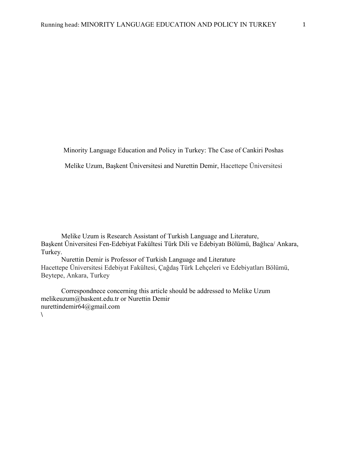Minority Language Education and Policy in Turkey: The Case of Cankiri Poshas

Melike Uzum, Başkent Üniversitesi and Nurettin Demir, Hacettepe Üniversitesi

Melike Uzum is Research Assistant of Turkish Language and Literature, Başkent Üniversitesi Fen-Edebiyat Fakültesi Türk Dili ve Edebiyatı Bölümü, Bağlıca/ Ankara, Turkey.

Nurettin Demir is Professor of Turkish Language and Literature Hacettepe Üniversitesi Edebiyat Fakültesi, Çağdaş Türk Lehçeleri ve Edebiyatları Bölümü, Beytepe, Ankara, Turkey

Correspondnece concerning this article should be addressed to Melike Uzum melikeuzum@baskent.edu.tr or Nurettin Demir nurettindemir64@gmail.com **\**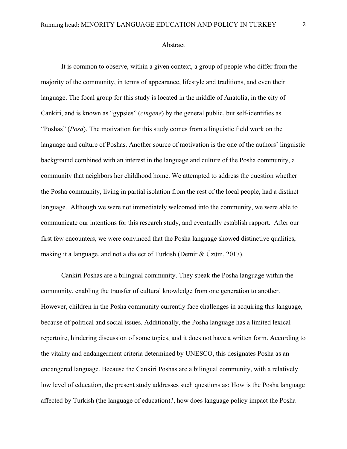#### Abstract

It is common to observe, within a given context, a group of people who differ from the majority of the community, in terms of appearance, lifestyle and traditions, and even their language. The focal group for this study is located in the middle of Anatolia, in the city of Cankiri, and is known as "gypsies" (*cingene*) by the general public, but self-identifies as "Poshas" (*Posa*). The motivation for this study comes from a linguistic field work on the language and culture of Poshas. Another source of motivation is the one of the authors' linguistic background combined with an interest in the language and culture of the Posha community, a community that neighbors her childhood home. We attempted to address the question whether the Posha community, living in partial isolation from the rest of the local people, had a distinct language. Although we were not immediately welcomed into the community, we were able to communicate our intentions for this research study, and eventually establish rapport. After our first few encounters, we were convinced that the Posha language showed distinctive qualities, making it a language, and not a dialect of Turkish (Demir & Üzüm, 2017).

Cankiri Poshas are a bilingual community. They speak the Posha language within the community, enabling the transfer of cultural knowledge from one generation to another. However, children in the Posha community currently face challenges in acquiring this language, because of political and social issues. Additionally, the Posha language has a limited lexical repertoire, hindering discussion of some topics, and it does not have a written form. According to the vitality and endangerment criteria determined by UNESCO, this designates Posha as an endangered language. Because the Cankiri Poshas are a bilingual community, with a relatively low level of education, the present study addresses such questions as: How is the Posha language affected by Turkish (the language of education)?, how does language policy impact the Posha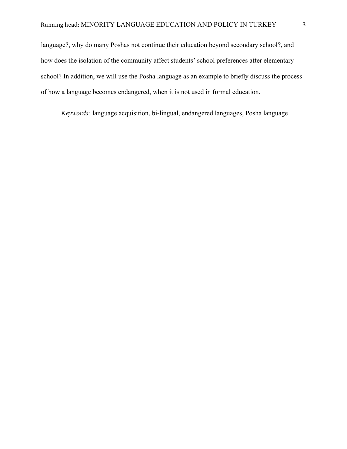language?, why do many Poshas not continue their education beyond secondary school?, and how does the isolation of the community affect students' school preferences after elementary school? In addition, we will use the Posha language as an example to briefly discuss the process of how a language becomes endangered, when it is not used in formal education.

*Keywords:* language acquisition, bi-lingual, endangered languages, Posha language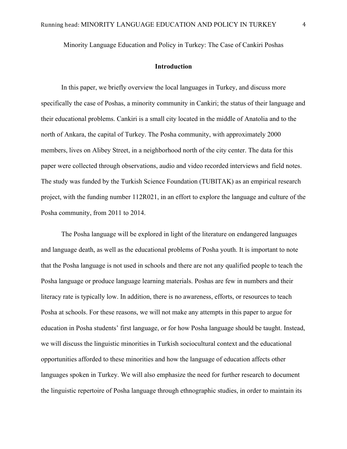Minority Language Education and Policy in Turkey: The Case of Cankiri Poshas

## **Introduction**

In this paper, we briefly overview the local languages in Turkey, and discuss more specifically the case of Poshas, a minority community in Cankiri; the status of their language and their educational problems. Cankiri is a small city located in the middle of Anatolia and to the north of Ankara, the capital of Turkey. The Posha community, with approximately 2000 members, lives on Alibey Street, in a neighborhood north of the city center. The data for this paper were collected through observations, audio and video recorded interviews and field notes. The study was funded by the Turkish Science Foundation (TUBITAK) as an empirical research project, with the funding number 112R021, in an effort to explore the language and culture of the Posha community, from 2011 to 2014.

The Posha language will be explored in light of the literature on endangered languages and language death, as well as the educational problems of Posha youth. It is important to note that the Posha language is not used in schools and there are not any qualified people to teach the Posha language or produce language learning materials. Poshas are few in numbers and their literacy rate is typically low. In addition, there is no awareness, efforts, or resources to teach Posha at schools. For these reasons, we will not make any attempts in this paper to argue for education in Posha students' first language, or for how Posha language should be taught. Instead, we will discuss the linguistic minorities in Turkish sociocultural context and the educational opportunities afforded to these minorities and how the language of education affects other languages spoken in Turkey. We will also emphasize the need for further research to document the linguistic repertoire of Posha language through ethnographic studies, in order to maintain its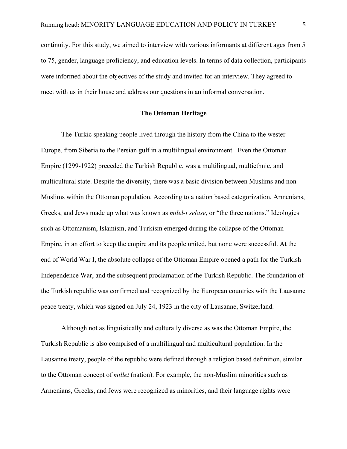continuity. For this study, we aimed to interview with various informants at different ages from 5 to 75, gender, language proficiency, and education levels. In terms of data collection, participants were informed about the objectives of the study and invited for an interview. They agreed to meet with us in their house and address our questions in an informal conversation.

# **The Ottoman Heritage**

The Turkic speaking people lived through the history from the China to the wester Europe, from Siberia to the Persian gulf in a multilingual environment. Even the Ottoman Empire (1299-1922) preceded the Turkish Republic, was a multilingual, multiethnic, and multicultural state. Despite the diversity, there was a basic division between Muslims and non-Muslims within the Ottoman population. According to a nation based categorization, Armenians, Greeks, and Jews made up what was known as *milel-i selase*, or "the three nations." Ideologies such as Ottomanism, Islamism, and Turkism emerged during the collapse of the Ottoman Empire, in an effort to keep the empire and its people united, but none were successful. At the end of World War I, the absolute collapse of the Ottoman Empire opened a path for the Turkish Independence War, and the subsequent proclamation of the Turkish Republic. The foundation of the Turkish republic was confirmed and recognized by the European countries with the Lausanne peace treaty, which was signed on July 24, 1923 in the city of Lausanne, Switzerland.

Although not as linguistically and culturally diverse as was the Ottoman Empire, the Turkish Republic is also comprised of a multilingual and multicultural population. In the Lausanne treaty, people of the republic were defined through a religion based definition, similar to the Ottoman concept of *millet* (nation). For example, the non-Muslim minorities such as Armenians, Greeks, and Jews were recognized as minorities, and their language rights were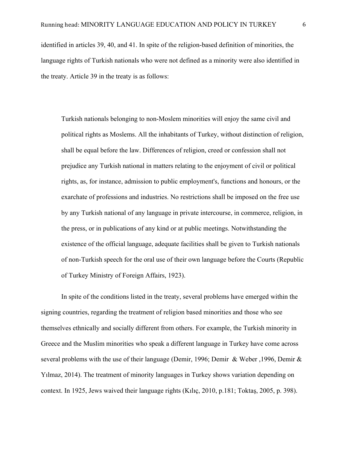identified in articles 39, 40, and 41. In spite of the religion-based definition of minorities, the language rights of Turkish nationals who were not defined as a minority were also identified in the treaty. Article 39 in the treaty is as follows:

Turkish nationals belonging to non-Moslem minorities will enjoy the same civil and political rights as Moslems. All the inhabitants of Turkey, without distinction of religion, shall be equal before the law. Differences of religion, creed or confession shall not prejudice any Turkish national in matters relating to the enjoyment of civil or political rights, as, for instance, admission to public employment's, functions and honours, or the exarchate of professions and industries. No restrictions shall be imposed on the free use by any Turkish national of any language in private intercourse, in commerce, religion, in the press, or in publications of any kind or at public meetings. Notwithstanding the existence of the official language, adequate facilities shall be given to Turkish nationals of non-Turkish speech for the oral use of their own language before the Courts (Republic of Turkey Ministry of Foreign Affairs, 1923).

In spite of the conditions listed in the treaty, several problems have emerged within the signing countries, regarding the treatment of religion based minorities and those who see themselves ethnically and socially different from others. For example, the Turkish minority in Greece and the Muslim minorities who speak a different language in Turkey have come across several problems with the use of their language (Demir, 1996; Demir & Weber ,1996, Demir & Yılmaz, 2014). The treatment of minority languages in Turkey shows variation depending on context. In 1925, Jews waived their language rights (Kılıç, 2010, p.181; Toktaş, 2005, p. 398).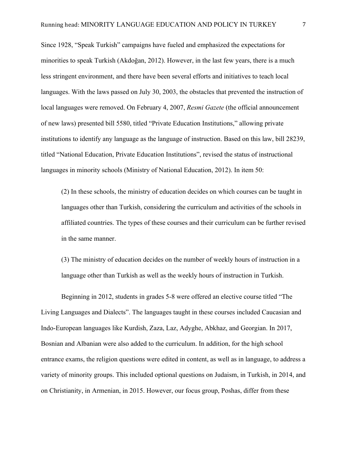Since 1928, "Speak Turkish" campaigns have fueled and emphasized the expectations for minorities to speak Turkish (Akdoğan, 2012). However, in the last few years, there is a much less stringent environment, and there have been several efforts and initiatives to teach local languages. With the laws passed on July 30, 2003, the obstacles that prevented the instruction of local languages were removed. On February 4, 2007, *Resmi Gazete* (the official announcement of new laws) presented bill 5580, titled "Private Education Institutions," allowing private institutions to identify any language as the language of instruction. Based on this law, bill 28239, titled "National Education, Private Education Institutions", revised the status of instructional languages in minority schools (Ministry of National Education, 2012). In item 50:

(2) In these schools, the ministry of education decides on which courses can be taught in languages other than Turkish, considering the curriculum and activities of the schools in affiliated countries. The types of these courses and their curriculum can be further revised in the same manner.

(3) The ministry of education decides on the number of weekly hours of instruction in a language other than Turkish as well as the weekly hours of instruction in Turkish.

Beginning in 2012, students in grades 5-8 were offered an elective course titled "The Living Languages and Dialects". The languages taught in these courses included Caucasian and Indo-European languages like Kurdish, Zaza, Laz, Adyghe, Abkhaz, and Georgian. In 2017, Bosnian and Albanian were also added to the curriculum. In addition, for the high school entrance exams, the religion questions were edited in content, as well as in language, to address a variety of minority groups. This included optional questions on Judaism, in Turkish, in 2014, and on Christianity, in Armenian, in 2015. However, our focus group, Poshas, differ from these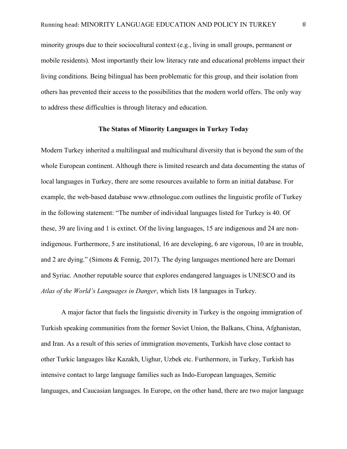minority groups due to their sociocultural context (e.g., living in small groups, permanent or mobile residents). Most importantly their low literacy rate and educational problems impact their living conditions. Being bilingual has been problematic for this group, and their isolation from others has prevented their access to the possibilities that the modern world offers. The only way to address these difficulties is through literacy and education.

# **The Status of Minority Languages in Turkey Today**

Modern Turkey inherited a multilingual and multicultural diversity that is beyond the sum of the whole European continent. Although there is limited research and data documenting the status of local languages in Turkey, there are some resources available to form an initial database. For example, the web-based database www.ethnologue.com outlines the linguistic profile of Turkey in the following statement: "The number of individual languages listed for Turkey is 40. Of these, 39 are living and 1 is extinct. Of the living languages, 15 are indigenous and 24 are nonindigenous. Furthermore, 5 are institutional, 16 are developing, 6 are vigorous, 10 are in trouble, and 2 are dying." (Simons & Fennig, 2017). The dying languages mentioned here are Domari and Syriac. Another reputable source that explores endangered languages is UNESCO and its *Atlas of the World's Languages in Danger*, which lists 18 languages in Turkey.

A major factor that fuels the linguistic diversity in Turkey is the ongoing immigration of Turkish speaking communities from the former Soviet Union, the Balkans, China, Afghanistan, and Iran. As a result of this series of immigration movements, Turkish have close contact to other Turkic languages like Kazakh, Uighur, Uzbek etc. Furthermore, in Turkey, Turkish has intensive contact to large language families such as Indo-European languages, Semitic languages, and Caucasian languages. In Europe, on the other hand, there are two major language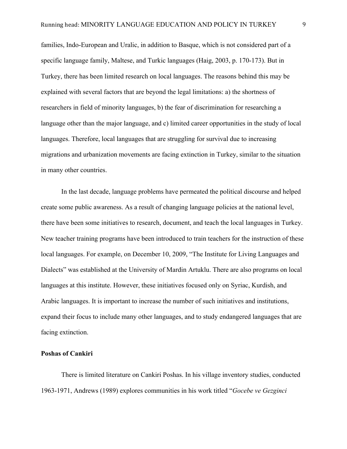families, Indo-European and Uralic, in addition to Basque, which is not considered part of a specific language family, Maltese, and Turkic languages (Haig, 2003, p. 170-173). But in Turkey, there has been limited research on local languages. The reasons behind this may be explained with several factors that are beyond the legal limitations: a) the shortness of researchers in field of minority languages, b) the fear of discrimination for researching a language other than the major language, and c) limited career opportunities in the study of local languages. Therefore, local languages that are struggling for survival due to increasing migrations and urbanization movements are facing extinction in Turkey, similar to the situation in many other countries.

In the last decade, language problems have permeated the political discourse and helped create some public awareness. As a result of changing language policies at the national level, there have been some initiatives to research, document, and teach the local languages in Turkey. New teacher training programs have been introduced to train teachers for the instruction of these local languages. For example, on December 10, 2009, "The Institute for Living Languages and Dialects" was established at the University of Mardin Artuklu. There are also programs on local languages at this institute. However, these initiatives focused only on Syriac, Kurdish, and Arabic languages. It is important to increase the number of such initiatives and institutions, expand their focus to include many other languages, and to study endangered languages that are facing extinction.

### **Poshas of Cankiri**

There is limited literature on Cankiri Poshas. In his village inventory studies, conducted 1963-1971, Andrews (1989) explores communities in his work titled "*Gocebe ve Gezginci*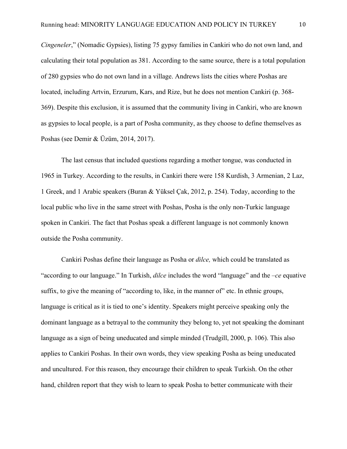*Cingeneler*," (Nomadic Gypsies), listing 75 gypsy families in Cankiri who do not own land, and calculating their total population as 381. According to the same source, there is a total population of 280 gypsies who do not own land in a village. Andrews lists the cities where Poshas are located, including Artvin, Erzurum, Kars, and Rize, but he does not mention Cankiri (p. 368- 369). Despite this exclusion, it is assumed that the community living in Cankiri, who are known as gypsies to local people, is a part of Posha community, as they choose to define themselves as Poshas (see Demir & Üzüm, 2014, 2017).

The last census that included questions regarding a mother tongue, was conducted in 1965 in Turkey. According to the results, in Cankiri there were 158 Kurdish, 3 Armenian, 2 Laz, 1 Greek, and 1 Arabic speakers (Buran & Yüksel Çak, 2012, p. 254). Today, according to the local public who live in the same street with Poshas, Posha is the only non-Turkic language spoken in Cankiri. The fact that Poshas speak a different language is not commonly known outside the Posha community.

Cankiri Poshas define their language as Posha or *dilce,* which could be translated as "according to our language." In Turkish, *dilce* includes the word "language" and the –*ce* equative suffix, to give the meaning of "according to, like, in the manner of" etc. In ethnic groups, language is critical as it is tied to one's identity. Speakers might perceive speaking only the dominant language as a betrayal to the community they belong to, yet not speaking the dominant language as a sign of being uneducated and simple minded (Trudgill, 2000, p. 106). This also applies to Cankiri Poshas. In their own words, they view speaking Posha as being uneducated and uncultured. For this reason, they encourage their children to speak Turkish. On the other hand, children report that they wish to learn to speak Posha to better communicate with their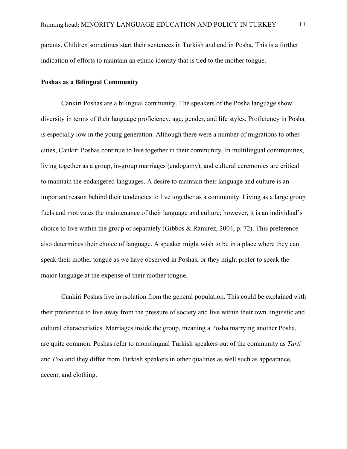parents. Children sometimes start their sentences in Turkish and end in Posha. This is a further indication of efforts to maintain an ethnic identity that is tied to the mother tongue.

# **Poshas as a Bilingual Community**

Cankiri Poshas are a bilingual community. The speakers of the Posha language show diversity in terms of their language proficiency, age, gender, and life styles. Proficiency in Posha is especially low in the young generation. Although there were a number of migrations to other cities, Cankiri Poshas continue to live together in their community. In multilingual communities, living together as a group, in-group marriages (endogamy), and cultural ceremonies are critical to maintain the endangered languages. A desire to maintain their language and culture is an important reason behind their tendencies to live together as a community. Living as a large group fuels and motivates the maintenance of their language and culture; however, it is an individual's choice to live within the group or separately (Gibbos & Ramirez, 2004, p. 72). This preference also determines their choice of language. A speaker might wish to be in a place where they can speak their mother tongue as we have observed in Poshas, or they might prefer to speak the major language at the expense of their mother tongue.

Cankiri Poshas live in isolation from the general population. This could be explained with their preference to live away from the pressure of society and live within their own linguistic and cultural characteristics. Marriages inside the group, meaning a Posha marrying another Posha, are quite common. Poshas refer to monolingual Turkish speakers out of the community as *Tarti* and *Poo* and they differ from Turkish speakers in other qualities as well such as appearance, accent, and clothing.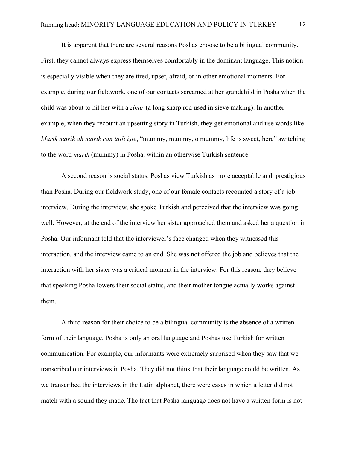It is apparent that there are several reasons Poshas choose to be a bilingual community. First, they cannot always express themselves comfortably in the dominant language. This notion is especially visible when they are tired, upset, afraid, or in other emotional moments. For example, during our fieldwork, one of our contacts screamed at her grandchild in Posha when the child was about to hit her with a *zinar* (a long sharp rod used in sieve making). In another example, when they recount an upsetting story in Turkish, they get emotional and use words like *Marik marik ah marik can tatli işte*, "mummy, mummy, o mummy, life is sweet, here" switching to the word *marik* (mummy) in Posha, within an otherwise Turkish sentence.

A second reason is social status. Poshas view Turkish as more acceptable and prestigious than Posha. During our fieldwork study, one of our female contacts recounted a story of a job interview. During the interview, she spoke Turkish and perceived that the interview was going well. However, at the end of the interview her sister approached them and asked her a question in Posha. Our informant told that the interviewer's face changed when they witnessed this interaction, and the interview came to an end. She was not offered the job and believes that the interaction with her sister was a critical moment in the interview. For this reason, they believe that speaking Posha lowers their social status, and their mother tongue actually works against them.

A third reason for their choice to be a bilingual community is the absence of a written form of their language. Posha is only an oral language and Poshas use Turkish for written communication. For example, our informants were extremely surprised when they saw that we transcribed our interviews in Posha. They did not think that their language could be written. As we transcribed the interviews in the Latin alphabet, there were cases in which a letter did not match with a sound they made. The fact that Posha language does not have a written form is not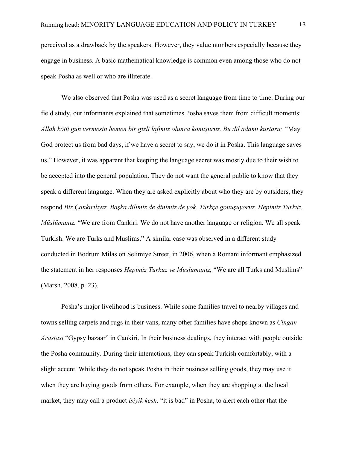perceived as a drawback by the speakers. However, they value numbers especially because they engage in business. A basic mathematical knowledge is common even among those who do not speak Posha as well or who are illiterate.

We also observed that Posha was used as a secret language from time to time. During our field study, our informants explained that sometimes Posha saves them from difficult moments: *Allah kötü gün vermesin hemen bir gizli lafımız olunca konuşuruz. Bu dil adamı kurtarır.* "May God protect us from bad days, if we have a secret to say, we do it in Posha. This language saves us." However, it was apparent that keeping the language secret was mostly due to their wish to be accepted into the general population. They do not want the general public to know that they speak a different language. When they are asked explicitly about who they are by outsiders, they respond *Biz Çankırılıyız. Başka dilimiz de dinimiz de yok. Türkçe gonuşuyoruz. Hepimiz Türküz, Müslümanız.* "We are from Cankiri. We do not have another language or religion. We all speak Turkish. We are Turks and Muslims." A similar case was observed in a different study conducted in Bodrum Milas on Selimiye Street, in 2006, when a Romani informant emphasized the statement in her responses *Hepimiz Turkuz ve Muslumaniz,* "We are all Turks and Muslims" (Marsh, 2008, p. 23).

Posha's major livelihood is business. While some families travel to nearby villages and towns selling carpets and rugs in their vans, many other families have shops known as *Cingan Arastasi* "Gypsy bazaar" in Cankiri. In their business dealings, they interact with people outside the Posha community. During their interactions, they can speak Turkish comfortably, with a slight accent. While they do not speak Posha in their business selling goods, they may use it when they are buying goods from others. For example, when they are shopping at the local market, they may call a product *isiyik kesh,* "it is bad" in Posha, to alert each other that the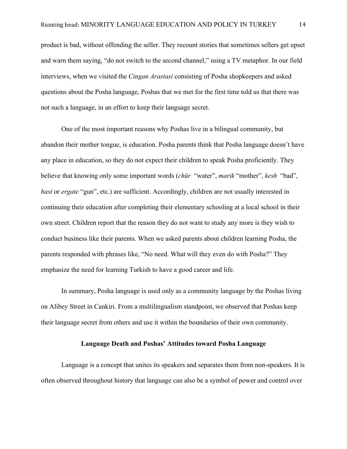product is bad, without offending the seller. They recount stories that sometimes sellers get upset and warn them saying, "do not switch to the second channel," using a TV metaphor. In our field interviews, when we visited the *Cingan Arastasi* consisting of Posha shopkeepers and asked questions about the Posha language, Poshas that we met for the first time told us that there was not such a language, in an effort to keep their language secret.

One of the most important reasons why Poshas live in a bilingual community, but abandon their mother tongue, is education. Posha parents think that Posha language doesn't have any place in education, so they do not expect their children to speak Posha proficiently. They believe that knowing only some important words (*chür* "water", *marik* "mother", *kesh* "bad", *hast* or *ergate* "gun", etc.) are sufficient. Accordingly, children are not usually interested in continuing their education after completing their elementary schooling at a local school in their own street. Children report that the reason they do not want to study any more is they wish to conduct business like their parents. When we asked parents about children learning Posha, the parents responded with phrases like, "No need. What will they even do with Posha?" They emphasize the need for learning Turkish to have a good career and life.

In summary, Posha language is used only as a community language by the Poshas living on Alibey Street in Cankiri. From a multilingualism standpoint, we observed that Poshas keep their language secret from others and use it within the boundaries of their own community.

# **Language Death and Poshas' Attitudes toward Posha Language**

Language is a concept that unites its speakers and separates them from non-speakers. It is often observed throughout history that language can also be a symbol of power and control over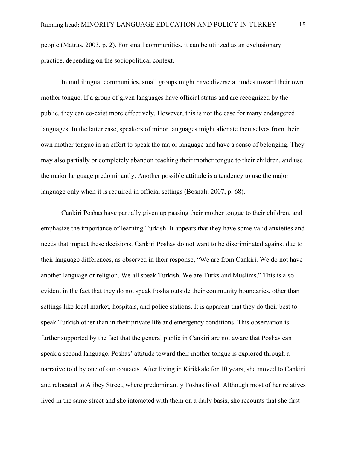people (Matras, 2003, p. 2). For small communities, it can be utilized as an exclusionary practice, depending on the sociopolitical context.

In multilingual communities, small groups might have diverse attitudes toward their own mother tongue. If a group of given languages have official status and are recognized by the public, they can co-exist more effectively. However, this is not the case for many endangered languages. In the latter case, speakers of minor languages might alienate themselves from their own mother tongue in an effort to speak the major language and have a sense of belonging. They may also partially or completely abandon teaching their mother tongue to their children, and use the major language predominantly. Another possible attitude is a tendency to use the major language only when it is required in official settings (Bosnalı, 2007, p. 68).

Cankiri Poshas have partially given up passing their mother tongue to their children, and emphasize the importance of learning Turkish. It appears that they have some valid anxieties and needs that impact these decisions. Cankiri Poshas do not want to be discriminated against due to their language differences, as observed in their response, "We are from Cankiri. We do not have another language or religion. We all speak Turkish. We are Turks and Muslims." This is also evident in the fact that they do not speak Posha outside their community boundaries, other than settings like local market, hospitals, and police stations. It is apparent that they do their best to speak Turkish other than in their private life and emergency conditions. This observation is further supported by the fact that the general public in Cankiri are not aware that Poshas can speak a second language. Poshas' attitude toward their mother tongue is explored through a narrative told by one of our contacts. After living in Kirikkale for 10 years, she moved to Cankiri and relocated to Alibey Street, where predominantly Poshas lived. Although most of her relatives lived in the same street and she interacted with them on a daily basis, she recounts that she first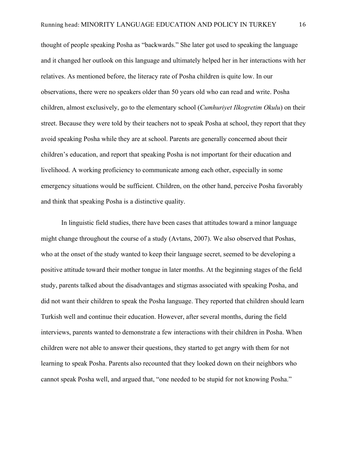thought of people speaking Posha as "backwards." She later got used to speaking the language and it changed her outlook on this language and ultimately helped her in her interactions with her relatives. As mentioned before, the literacy rate of Posha children is quite low. In our observations, there were no speakers older than 50 years old who can read and write. Posha children, almost exclusively, go to the elementary school (*Cumhuriyet Ilkogretim Okulu*) on their street. Because they were told by their teachers not to speak Posha at school, they report that they avoid speaking Posha while they are at school. Parents are generally concerned about their children's education, and report that speaking Posha is not important for their education and livelihood. A working proficiency to communicate among each other, especially in some emergency situations would be sufficient. Children, on the other hand, perceive Posha favorably and think that speaking Posha is a distinctive quality.

In linguistic field studies, there have been cases that attitudes toward a minor language might change throughout the course of a study (Avtans, 2007). We also observed that Poshas, who at the onset of the study wanted to keep their language secret, seemed to be developing a positive attitude toward their mother tongue in later months. At the beginning stages of the field study, parents talked about the disadvantages and stigmas associated with speaking Posha, and did not want their children to speak the Posha language. They reported that children should learn Turkish well and continue their education. However, after several months, during the field interviews, parents wanted to demonstrate a few interactions with their children in Posha. When children were not able to answer their questions, they started to get angry with them for not learning to speak Posha. Parents also recounted that they looked down on their neighbors who cannot speak Posha well, and argued that, "one needed to be stupid for not knowing Posha."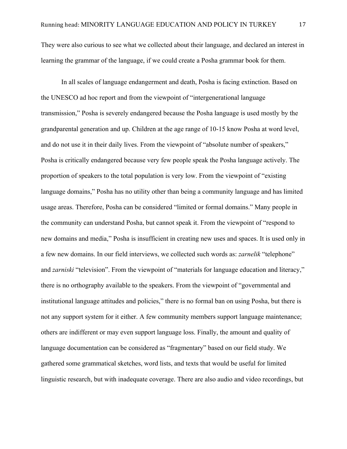They were also curious to see what we collected about their language, and declared an interest in learning the grammar of the language, if we could create a Posha grammar book for them.

In all scales of language endangerment and death, Posha is facing extinction. Based on the UNESCO ad hoc report and from the viewpoint of "intergenerational language transmission," Posha is severely endangered because the Posha language is used mostly by the grandparental generation and up. Children at the age range of 10-15 know Posha at word level, and do not use it in their daily lives. From the viewpoint of "absolute number of speakers," Posha is critically endangered because very few people speak the Posha language actively. The proportion of speakers to the total population is very low. From the viewpoint of "existing language domains," Posha has no utility other than being a community language and has limited usage areas. Therefore, Posha can be considered "limited or formal domains." Many people in the community can understand Posha, but cannot speak it. From the viewpoint of "respond to new domains and media," Posha is insufficient in creating new uses and spaces. It is used only in a few new domains. In our field interviews, we collected such words as: *zarnelik* "telephone" and *zarniski* "television". From the viewpoint of "materials for language education and literacy," there is no orthography available to the speakers. From the viewpoint of "governmental and institutional language attitudes and policies," there is no formal ban on using Posha, but there is not any support system for it either. A few community members support language maintenance; others are indifferent or may even support language loss. Finally, the amount and quality of language documentation can be considered as "fragmentary" based on our field study. We gathered some grammatical sketches, word lists, and texts that would be useful for limited linguistic research, but with inadequate coverage. There are also audio and video recordings, but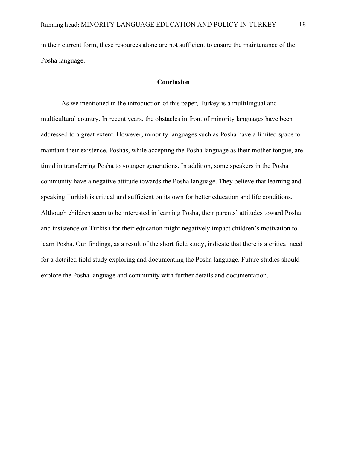in their current form, these resources alone are not sufficient to ensure the maintenance of the Posha language.

# **Conclusion**

As we mentioned in the introduction of this paper, Turkey is a multilingual and multicultural country. In recent years, the obstacles in front of minority languages have been addressed to a great extent. However, minority languages such as Posha have a limited space to maintain their existence. Poshas, while accepting the Posha language as their mother tongue, are timid in transferring Posha to younger generations. In addition, some speakers in the Posha community have a negative attitude towards the Posha language. They believe that learning and speaking Turkish is critical and sufficient on its own for better education and life conditions. Although children seem to be interested in learning Posha, their parents' attitudes toward Posha and insistence on Turkish for their education might negatively impact children's motivation to learn Posha. Our findings, as a result of the short field study, indicate that there is a critical need for a detailed field study exploring and documenting the Posha language. Future studies should explore the Posha language and community with further details and documentation.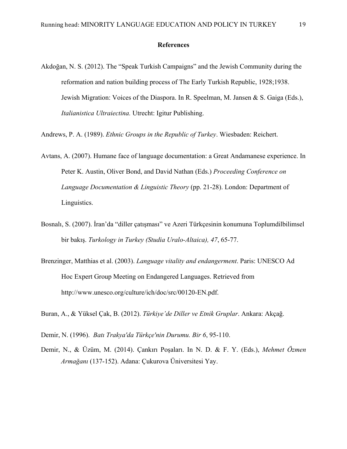## **References**

Akdoğan, N. S. (2012). The "Speak Turkish Campaigns" and the Jewish Community during the reformation and nation building process of The Early Turkish Republic, 1928;1938. Jewish Migration: Voices of the Diaspora. In R. Speelman, M. Jansen & S. Gaiga (Eds.), *Italianistica Ultraiectina.* Utrecht: Igitur Publishing.

Andrews, P. A. (1989). *Ethnic Groups in the Republic of Turkey*. Wiesbaden: Reichert.

Avtans, A. (2007). Humane face of language documentation: a Great Andamanese experience. In Peter K. Austin, Oliver Bond, and David Nathan (Eds.) *Proceeding Conference on Language Documentation & Linguistic Theory* (pp. 21-28). London: Department of Linguistics.

- Bosnalı, S. (2007). İran'da "diller çatışması" ve Azeri Türkçesinin konumuna Toplumdilbilimsel bir bakış. *Turkology in Turkey (Studia Uralo-Altaica), 47*, 65-77.
- Brenzinger, Matthias et al. (2003). *Language vitality and endangerment*. Paris: UNESCO Ad Hoc Expert Group Meeting on Endangered Languages. Retrieved from http://www.unesco.org/culture/ich/doc/src/00120-EN.pdf.

Buran, A., & Yüksel Çak, B. (2012). *Türkiye'de Diller ve Etnik Gruplar*. Ankara: Akçağ.

- Demir, N. (1996). *Batı Trakya'da Türkçe'nin Durumu. Bir 6*, 95-110.
- Demir, N., & Üzüm, M. (2014). Çankırı Poşaları. In N. D. & F. Y. (Eds.), *Mehmet Özmen Armağanı* (137-152). Adana: Çukurova Üniversitesi Yay.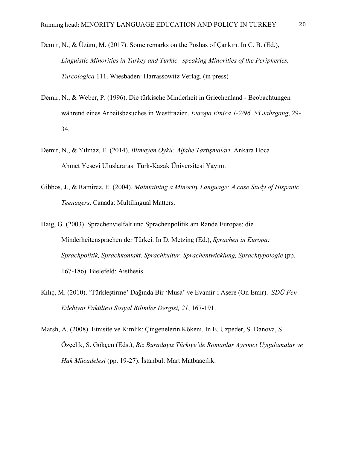- Demir, N., & Üzüm, M. (2017). Some remarks on the Poshas of Çankırı. In C. B. (Ed.), *Linguistic Minorities in Turkey and Turkic –speaking Minorities of the Peripheries, Turcologica* 111. Wiesbaden: Harrassowitz Verlag. (in press)
- Demir, N., & Weber, P. (1996). Die türkische Minderheit in Griechenland Beobachtungen während eines Arbeitsbesuches in Westtrazien. *Europa Etnica 1-2/96, 53 Jahrgang*, 29- 34.
- Demir, N., & Yılmaz, E. (2014). *Bitmeyen Öykü: Alfabe Tartışmaları*. Ankara Hoca Ahmet Yesevi Uluslararası Türk-Kazak Üniversitesi Yayını.
- Gibbos, J., & Ramirez, E. (2004). *Maintaining a Minority Language: A case Study of Hispanic Teenagers*. Canada: Multilingual Matters.
- Haig, G. (2003). Sprachenvielfalt und Sprachenpolitik am Rande Europas: die Minderheitensprachen der Türkei. In D. Metzing (Ed.), *Sprachen in Europa: Sprachpolitik, Sprachkontakt, Sprachkultur, Sprachentwicklung, Sprachtypologie* (pp. 167-186). Bielefeld: Aisthesis.
- Kılıç, M. (2010). 'Türkleştirme' Dağında Bir 'Musa' ve Evamir-i Aşere (On Emir). *SDÜ Fen Edebiyat Fakültesi Sosyal Bilimler Dergisi, 21*, 167-191.
- Marsh, A. (2008). Etnisite ve Kimlik: Çingenelerin Kökeni. In E. Uzpeder, S. Danova, S. Özçelik, S. Gökçen (Eds.), *Biz Buradayız Türkiye'de Romanlar Ayrımcı Uygulamalar ve Hak Mücadelesi* (pp. 19-27). İstanbul: Mart Matbaacılık.